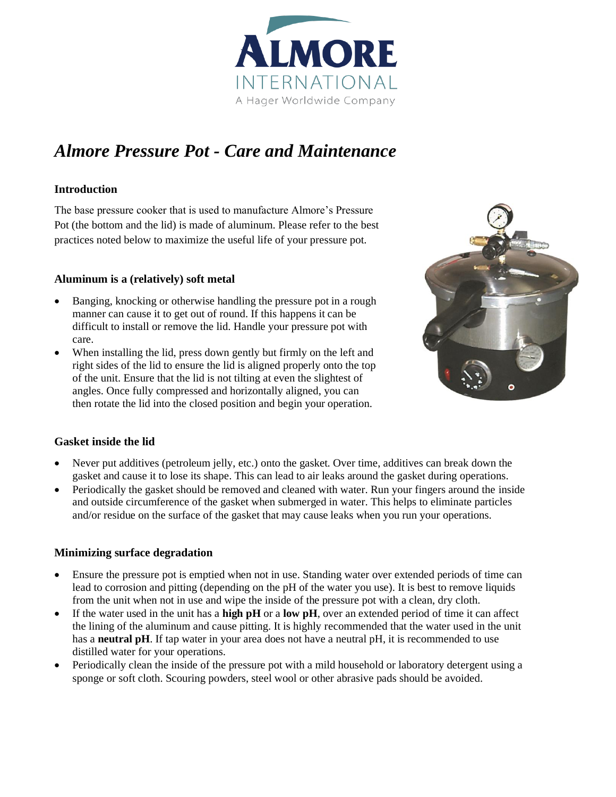

# *Almore Pressure Pot - Care and Maintenance*

### **Introduction**

The base pressure cooker that is used to manufacture Almore's Pressure Pot (the bottom and the lid) is made of aluminum. Please refer to the best practices noted below to maximize the useful life of your pressure pot.

### **Aluminum is a (relatively) soft metal**

- Banging, knocking or otherwise handling the pressure pot in a rough manner can cause it to get out of round. If this happens it can be difficult to install or remove the lid. Handle your pressure pot with care.
- When installing the lid, press down gently but firmly on the left and right sides of the lid to ensure the lid is aligned properly onto the top of the unit. Ensure that the lid is not tilting at even the slightest of angles. Once fully compressed and horizontally aligned, you can then rotate the lid into the closed position and begin your operation.



#### **Gasket inside the lid**

- Never put additives (petroleum jelly, etc.) onto the gasket. Over time, additives can break down the gasket and cause it to lose its shape. This can lead to air leaks around the gasket during operations.
- Periodically the gasket should be removed and cleaned with water. Run your fingers around the inside and outside circumference of the gasket when submerged in water. This helps to eliminate particles and/or residue on the surface of the gasket that may cause leaks when you run your operations.

#### **Minimizing surface degradation**

- Ensure the pressure pot is emptied when not in use. Standing water over extended periods of time can lead to corrosion and pitting (depending on the pH of the water you use). It is best to remove liquids from the unit when not in use and wipe the inside of the pressure pot with a clean, dry cloth.
- If the water used in the unit has a **high pH** or a **low pH**, over an extended period of time it can affect the lining of the aluminum and cause pitting. It is highly recommended that the water used in the unit has a **neutral pH**. If tap water in your area does not have a neutral pH, it is recommended to use distilled water for your operations.
- Periodically clean the inside of the pressure pot with a mild household or laboratory detergent using a sponge or soft cloth. Scouring powders, steel wool or other abrasive pads should be avoided.